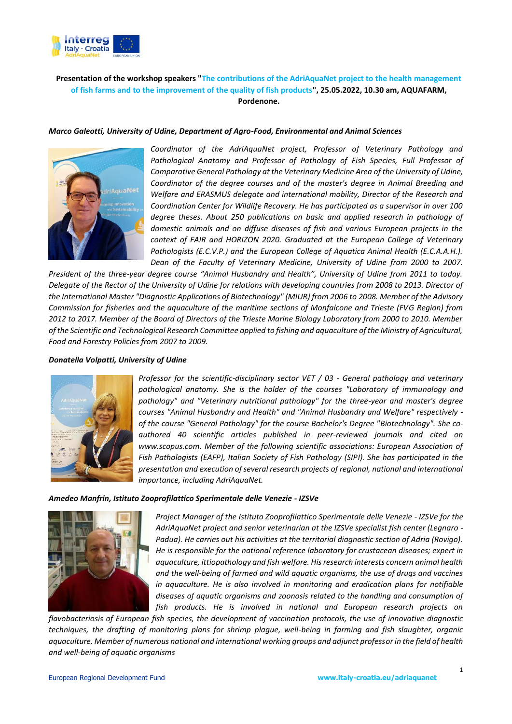

# **Presentation of the workshop speakers "The contributions of the AdriAquaNet project to the health management of fish farms and to the improvement of the quality of fish products", 25.05.2022, 10.30 am, AQUAFARM, Pordenone.**

# *Marco Galeotti, University of Udine, Department of Agro-Food, Environmental and Animal Sciences*



*Coordinator of the AdriAquaNet project, Professor of Veterinary Pathology and Pathological Anatomy and Professor of Pathology of Fish Species, Full Professor of Comparative General Pathology at the Veterinary Medicine Area of the University of Udine, Coordinator of the degree courses and of the master's degree in Animal Breeding and Welfare and ERASMUS delegate and international mobility, Director of the Research and Coordination Center for Wildlife Recovery. He has participated as a supervisor in over 100 degree theses. About 250 publications on basic and applied research in pathology of domestic animals and on diffuse diseases of fish and various European projects in the context of FAIR and HORIZON 2020. Graduated at the European College of Veterinary Pathologists (E.C.V.P.) and the European College of Aquatica Animal Health (E.C.A.A.H.). Dean of the Faculty of Veterinary Medicine, University of Udine from 2000 to 2007.* 

*President of the three-year degree course "Animal Husbandry and Health", University of Udine from 2011 to today. Delegate of the Rector of the University of Udine for relations with developing countries from 2008 to 2013. Director of the International Master "Diagnostic Applications of Biotechnology" (MIUR) from 2006 to 2008. Member of the Advisory Commission for fisheries and the aquaculture of the maritime sections of Monfalcone and Trieste (FVG Region) from 2012 to 2017. Member of the Board of Directors of the Trieste Marine Biology Laboratory from 2000 to 2010. Member of the Scientific and Technological Research Committee applied to fishing and aquaculture of the Ministry of Agricultural, Food and Forestry Policies from 2007 to 2009.*

#### *Donatella Volpatti, University of Udine*



*Professor for the scientific-disciplinary sector VET / 03 - General pathology and veterinary pathological anatomy. She is the holder of the courses "Laboratory of immunology and pathology" and "Veterinary nutritional pathology" for the three-year and master's degree courses "Animal Husbandry and Health" and "Animal Husbandry and Welfare" respectively of the course "General Pathology" for the course Bachelor's Degree "Biotechnology". She coauthored 40 scientific articles published in peer-reviewed journals and cited on www.scopus.com. Member of the following scientific associations: European Association of Fish Pathologists (EAFP), Italian Society of Fish Pathology (SIPI). She has participated in the presentation and execution of several research projects of regional, national and international importance, including AdriAquaNet.*

#### *Amedeo Manfrin, Istituto Zooprofilattico Sperimentale delle Venezie - IZSVe*



*Project Manager of the Istituto Zooprofilattico Sperimentale delle Venezie - IZSVe for the AdriAquaNet project and senior veterinarian at the IZSVe specialist fish center (Legnaro - Padua). He carries out his activities at the territorial diagnostic section of Adria (Rovigo). He is responsible for the national reference laboratory for crustacean diseases; expert in aquaculture, ittiopathology and fish welfare. His research interests concern animal health and the well-being of farmed and wild aquatic organisms, the use of drugs and vaccines in aquaculture. He is also involved in monitoring and eradication plans for notifiable diseases of aquatic organisms and zoonosis related to the handling and consumption of fish products. He is involved in national and European research projects on* 

*flavobacteriosis of European fish species, the development of vaccination protocols, the use of innovative diagnostic techniques, the drafting of monitoring plans for shrimp plague, well-being in farming and fish slaughter, organic aquaculture. Member of numerous national and international working groups and adjunct professor in the field of health and well-being of aquatic organisms*